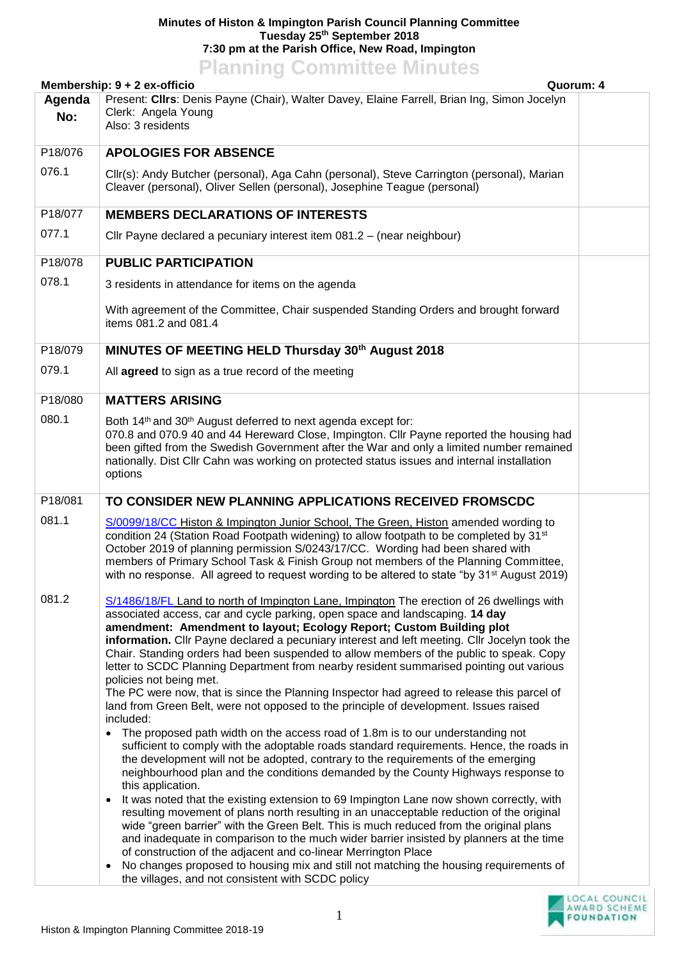## **Minutes of Histon & Impington Parish Council Planning Committee Tuesday 25th September 2018 7:30 pm at the Parish Office, New Road, Impington Planning Committee Minutes**

## **Membership: 9 + 2 ex-officio Quorum: 4 Agenda No:** Present: **Cllrs**: Denis Payne (Chair), Walter Davey, Elaine Farrell, Brian Ing, Simon Jocelyn Clerk: Angela Young Also: 3 residents P18/076 076.1 **APOLOGIES FOR ABSENCE** Cllr(s): Andy Butcher (personal), Aga Cahn (personal), Steve Carrington (personal), Marian Cleaver (personal), Oliver Sellen (personal), Josephine Teague (personal) P18/077 077.1 **MEMBERS DECLARATIONS OF INTERESTS** Cllr Payne declared a pecuniary interest item 081.2 – (near neighbour) P18/078 078.1 **PUBLIC PARTICIPATION**  3 residents in attendance for items on the agenda With agreement of the Committee, Chair suspended Standing Orders and brought forward items 081.2 and 081.4 P18/079 079.1 **MINUTES OF MEETING HELD Thursday 30th August 2018** All **agreed** to sign as a true record of the meeting P18/080 080.1 **MATTERS ARISING** Both 14<sup>th</sup> and 30<sup>th</sup> August deferred to next agenda except for: 070.8 and 070.9 40 and 44 Hereward Close, Impington. Cllr Payne reported the housing had been gifted from the Swedish Government after the War and only a limited number remained nationally. Dist Cllr Cahn was working on protected status issues and internal installation options P18/081 081.1 081.2 **TO CONSIDER NEW PLANNING APPLICATIONS RECEIVED FROMSCDC** [S/0099/18/CC](http://planning.cambridgeshire.gov.uk/swift/apas/run/WPHAPPDETAIL.DisplayUrl?theApnID=S/0099/18/CC&theTabNo=3&backURL=%3Ca%20href=wphappcriteria.display?paSearchKey=96499%3ESearch%20Criteria%3C/a%3E%20%3E%20%3Ca%20href=%27wphappsearchres.displayResultsURL?ResultID=166626%26StartIndex=1%26SortOrder=APNID%26DispResultsAs=WPHAPPSEARCHRES%26BackURL=%3Ca%20href=wphappcriteria.display?paSearchKey=96499%3ESearch%20Criteria%3C/a%3E%27%3ESearch%20Results%3C/a%3E) Histon & Impington Junior School, The Green, Histon amended wording to condition 24 (Station Road Footpath widening) to allow footpath to be completed by  $31<sup>st</sup>$ October 2019 of planning permission S/0243/17/CC. Wording had been shared with members of Primary School Task & Finish Group not members of the Planning Committee, with no response. All agreed to request wording to be altered to state "by 31<sup>st</sup> August 2019) [S/1486/18/FL](http://plan.scambs.gov.uk/swiftlg/apas/run/WPHAPPDETAIL.DisplayUrl?theApnID=S/1486/18/FL&theTabNo=3&backURL=%3Ca%20href%3Dwphappcriteria.display%3FpaSearchKey%3D1729827%3ESearch%20Criteria%3C%2Fa%3E%20%3E%20%3Ca%20href=%27wphappsearchres.displayResultsURL?ResultID=2296495%26StartIndex=1%26SortOrder=rgndat:desc%26DispResultsAs=WPHAPPSEARCHRES%26BackURL=%3Ca%20href%3Dwphappcriteria.display%3FpaSearchKey%3D1729827%3ESearch%20Criteria%3C%2Fa%3E%27%3ESearch%20Results%3C/a%3E) Land to north of Impington Lane, Impington The erection of 26 dwellings with associated access, car and cycle parking, open space and landscaping. **14 day amendment: Amendment to layout; Ecology Report; Custom Building plot information.** Cllr Payne declared a pecuniary interest and left meeting. Cllr Jocelyn took the Chair. Standing orders had been suspended to allow members of the public to speak. Copy letter to SCDC Planning Department from nearby resident summarised pointing out various policies not being met. The PC were now, that is since the Planning Inspector had agreed to release this parcel of land from Green Belt, were not opposed to the principle of development. Issues raised included: The proposed path width on the access road of 1.8m is to our understanding not sufficient to comply with the adoptable roads standard requirements. Hence, the roads in the development will not be adopted, contrary to the requirements of the emerging neighbourhood plan and the conditions demanded by the County Highways response to this application. • It was noted that the existing extension to 69 Impington Lane now shown correctly, with resulting movement of plans north resulting in an unacceptable reduction of the original wide "green barrier" with the Green Belt. This is much reduced from the original plans and inadequate in comparison to the much wider barrier insisted by planners at the time of construction of the adjacent and co-linear Merrington Place • No changes proposed to housing mix and still not matching the housing requirements of the villages, and not consistent with SCDC policy

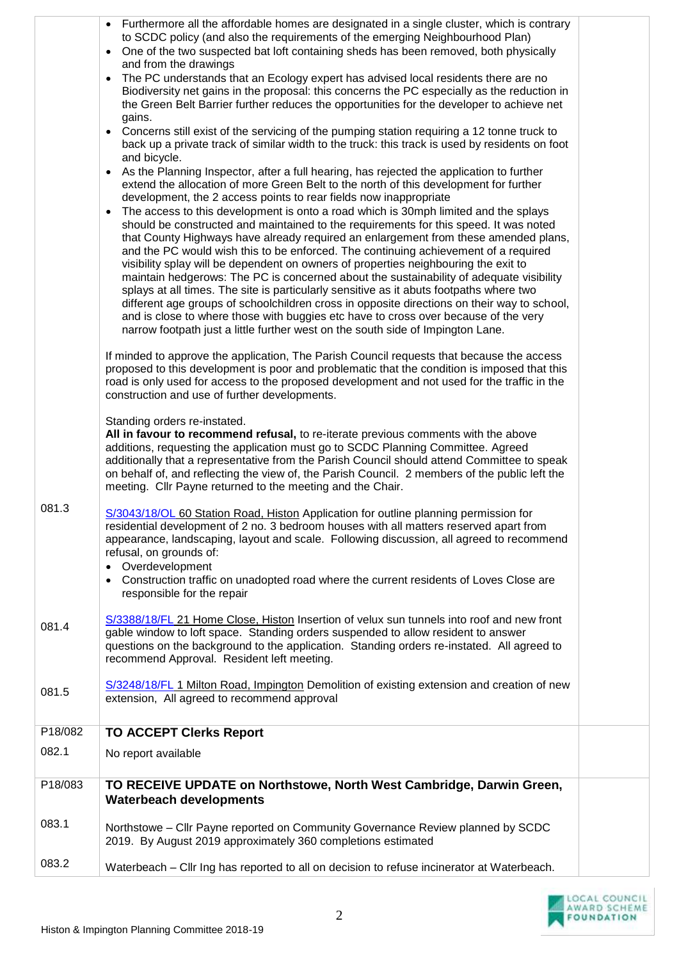|         | • Furthermore all the affordable homes are designated in a single cluster, which is contrary<br>to SCDC policy (and also the requirements of the emerging Neighbourhood Plan)<br>One of the two suspected bat loft containing sheds has been removed, both physically<br>and from the drawings<br>The PC understands that an Ecology expert has advised local residents there are no<br>$\bullet$                                                                                                                                                                                                                                                                                                                                                                                                                   |  |
|---------|---------------------------------------------------------------------------------------------------------------------------------------------------------------------------------------------------------------------------------------------------------------------------------------------------------------------------------------------------------------------------------------------------------------------------------------------------------------------------------------------------------------------------------------------------------------------------------------------------------------------------------------------------------------------------------------------------------------------------------------------------------------------------------------------------------------------|--|
|         | Biodiversity net gains in the proposal: this concerns the PC especially as the reduction in<br>the Green Belt Barrier further reduces the opportunities for the developer to achieve net<br>gains.                                                                                                                                                                                                                                                                                                                                                                                                                                                                                                                                                                                                                  |  |
|         | • Concerns still exist of the servicing of the pumping station requiring a 12 tonne truck to<br>back up a private track of similar width to the truck: this track is used by residents on foot<br>and bicycle.                                                                                                                                                                                                                                                                                                                                                                                                                                                                                                                                                                                                      |  |
|         | As the Planning Inspector, after a full hearing, has rejected the application to further<br>extend the allocation of more Green Belt to the north of this development for further<br>development, the 2 access points to rear fields now inappropriate<br>The access to this development is onto a road which is 30mph limited and the splays<br>$\bullet$<br>should be constructed and maintained to the requirements for this speed. It was noted<br>that County Highways have already required an enlargement from these amended plans,<br>and the PC would wish this to be enforced. The continuing achievement of a required<br>visibility splay will be dependent on owners of properties neighbouring the exit to<br>maintain hedgerows: The PC is concerned about the sustainability of adequate visibility |  |
|         | splays at all times. The site is particularly sensitive as it abuts footpaths where two<br>different age groups of schoolchildren cross in opposite directions on their way to school,<br>and is close to where those with buggies etc have to cross over because of the very<br>narrow footpath just a little further west on the south side of Impington Lane.                                                                                                                                                                                                                                                                                                                                                                                                                                                    |  |
|         | If minded to approve the application, The Parish Council requests that because the access<br>proposed to this development is poor and problematic that the condition is imposed that this<br>road is only used for access to the proposed development and not used for the traffic in the<br>construction and use of further developments.                                                                                                                                                                                                                                                                                                                                                                                                                                                                          |  |
|         | Standing orders re-instated.<br>All in favour to recommend refusal, to re-iterate previous comments with the above<br>additions, requesting the application must go to SCDC Planning Committee. Agreed<br>additionally that a representative from the Parish Council should attend Committee to speak<br>on behalf of, and reflecting the view of, the Parish Council. 2 members of the public left the<br>meeting. Cllr Payne returned to the meeting and the Chair.                                                                                                                                                                                                                                                                                                                                               |  |
| 081.3   | S/3043/18/OL 60 Station Road, Histon Application for outline planning permission for<br>residential development of 2 no. 3 bedroom houses with all matters reserved apart from<br>appearance, landscaping, layout and scale. Following discussion, all agreed to recommend<br>refusal, on grounds of:<br>Overdevelopment<br>Construction traffic on unadopted road where the current residents of Loves Close are                                                                                                                                                                                                                                                                                                                                                                                                   |  |
|         | responsible for the repair                                                                                                                                                                                                                                                                                                                                                                                                                                                                                                                                                                                                                                                                                                                                                                                          |  |
| 081.4   | S/3388/18/FL 21 Home Close, Histon Insertion of velux sun tunnels into roof and new front<br>gable window to loft space. Standing orders suspended to allow resident to answer<br>questions on the background to the application. Standing orders re-instated. All agreed to<br>recommend Approval. Resident left meeting.                                                                                                                                                                                                                                                                                                                                                                                                                                                                                          |  |
| 081.5   | S/3248/18/FL 1 Milton Road, Impington Demolition of existing extension and creation of new<br>extension, All agreed to recommend approval                                                                                                                                                                                                                                                                                                                                                                                                                                                                                                                                                                                                                                                                           |  |
| P18/082 | <b>TO ACCEPT Clerks Report</b>                                                                                                                                                                                                                                                                                                                                                                                                                                                                                                                                                                                                                                                                                                                                                                                      |  |
| 082.1   | No report available                                                                                                                                                                                                                                                                                                                                                                                                                                                                                                                                                                                                                                                                                                                                                                                                 |  |
| P18/083 | TO RECEIVE UPDATE on Northstowe, North West Cambridge, Darwin Green,<br><b>Waterbeach developments</b>                                                                                                                                                                                                                                                                                                                                                                                                                                                                                                                                                                                                                                                                                                              |  |
| 083.1   | Northstowe – Cllr Payne reported on Community Governance Review planned by SCDC<br>2019. By August 2019 approximately 360 completions estimated                                                                                                                                                                                                                                                                                                                                                                                                                                                                                                                                                                                                                                                                     |  |
| 083.2   | Waterbeach – Cllr Ing has reported to all on decision to refuse incinerator at Waterbeach.                                                                                                                                                                                                                                                                                                                                                                                                                                                                                                                                                                                                                                                                                                                          |  |